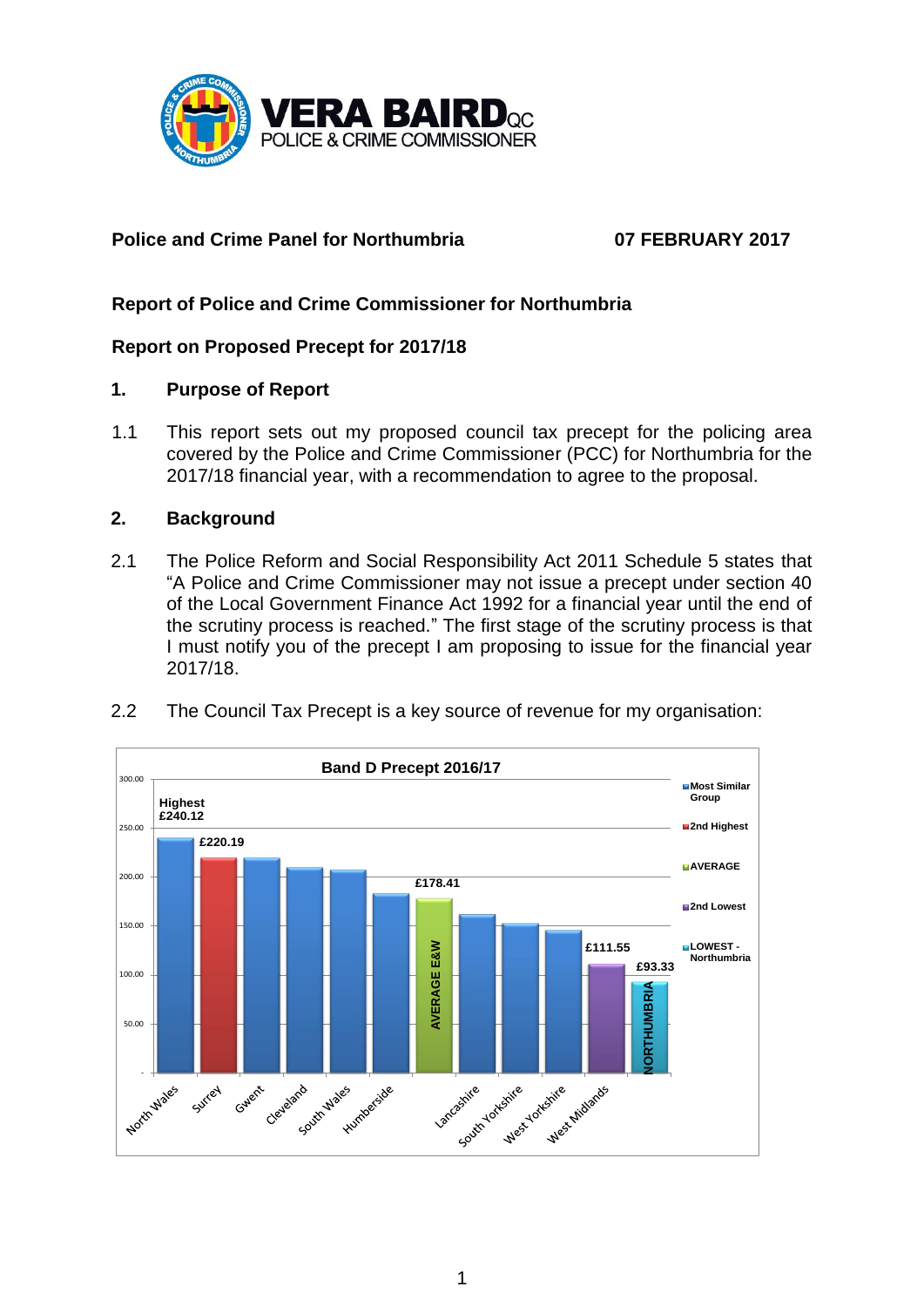

# **Police and Crime Panel for Northumbria 07 FEBRUARY 2017**

# **Report of Police and Crime Commissioner for Northumbria**

## **Report on Proposed Precept for 2017/18**

#### **1. Purpose of Report**

1.1 This report sets out my proposed council tax precept for the policing area covered by the Police and Crime Commissioner (PCC) for Northumbria for the 2017/18 financial year, with a recommendation to agree to the proposal.

#### **2. Background**

- 2.1 The Police Reform and Social Responsibility Act 2011 Schedule 5 states that "A Police and Crime Commissioner may not issue a precept under section 40 of the Local Government Finance Act 1992 for a financial year until the end of the scrutiny process is reached." The first stage of the scrutiny process is that I must notify you of the precept I am proposing to issue for the financial year 2017/18.
- 2.2 The Council Tax Precept is a key source of revenue for my organisation:

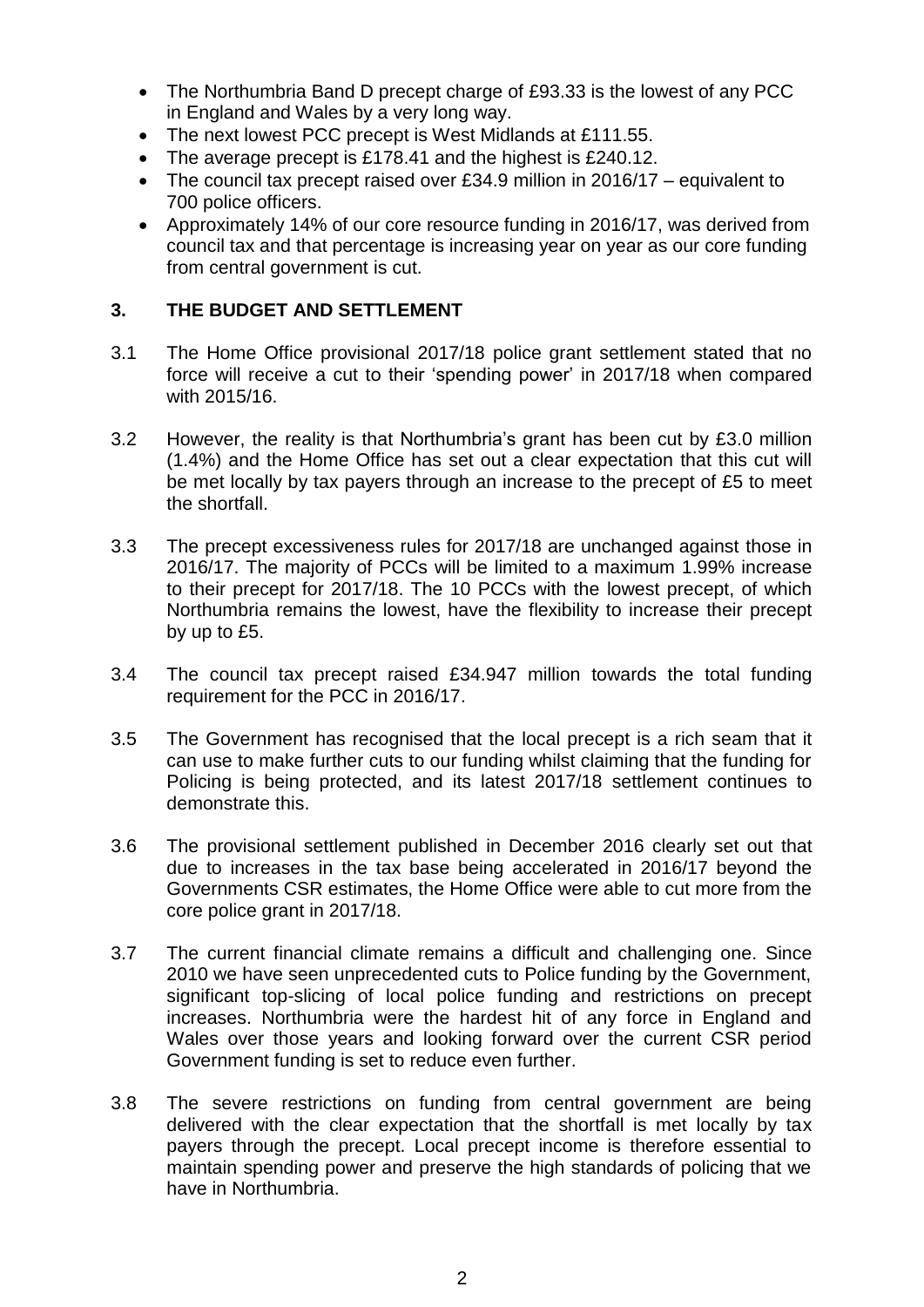- The Northumbria Band D precept charge of £93.33 is the lowest of any PCC in England and Wales by a very long way.
- The next lowest PCC precept is West Midlands at £111.55.
- The average precept is £178.41 and the highest is £240.12.
- The council tax precept raised over £34.9 million in 2016/17 equivalent to 700 police officers.
- Approximately 14% of our core resource funding in 2016/17, was derived from council tax and that percentage is increasing year on year as our core funding from central government is cut.

# **3. THE BUDGET AND SETTLEMENT**

- 3.1 The Home Office provisional 2017/18 police grant settlement stated that no force will receive a cut to their 'spending power' in 2017/18 when compared with 2015/16.
- 3.2 However, the reality is that Northumbria's grant has been cut by £3.0 million (1.4%) and the Home Office has set out a clear expectation that this cut will be met locally by tax payers through an increase to the precept of £5 to meet the shortfall.
- 3.3 The precept excessiveness rules for 2017/18 are unchanged against those in 2016/17. The majority of PCCs will be limited to a maximum 1.99% increase to their precept for 2017/18. The 10 PCCs with the lowest precept, of which Northumbria remains the lowest, have the flexibility to increase their precept by up to £5.
- 3.4 The council tax precept raised £34.947 million towards the total funding requirement for the PCC in 2016/17.
- 3.5 The Government has recognised that the local precept is a rich seam that it can use to make further cuts to our funding whilst claiming that the funding for Policing is being protected, and its latest 2017/18 settlement continues to demonstrate this.
- 3.6 The provisional settlement published in December 2016 clearly set out that due to increases in the tax base being accelerated in 2016/17 beyond the Governments CSR estimates, the Home Office were able to cut more from the core police grant in 2017/18.
- 3.7 The current financial climate remains a difficult and challenging one. Since 2010 we have seen unprecedented cuts to Police funding by the Government, significant top-slicing of local police funding and restrictions on precept increases. Northumbria were the hardest hit of any force in England and Wales over those years and looking forward over the current CSR period Government funding is set to reduce even further.
- 3.8 The severe restrictions on funding from central government are being delivered with the clear expectation that the shortfall is met locally by tax payers through the precept. Local precept income is therefore essential to maintain spending power and preserve the high standards of policing that we have in Northumbria.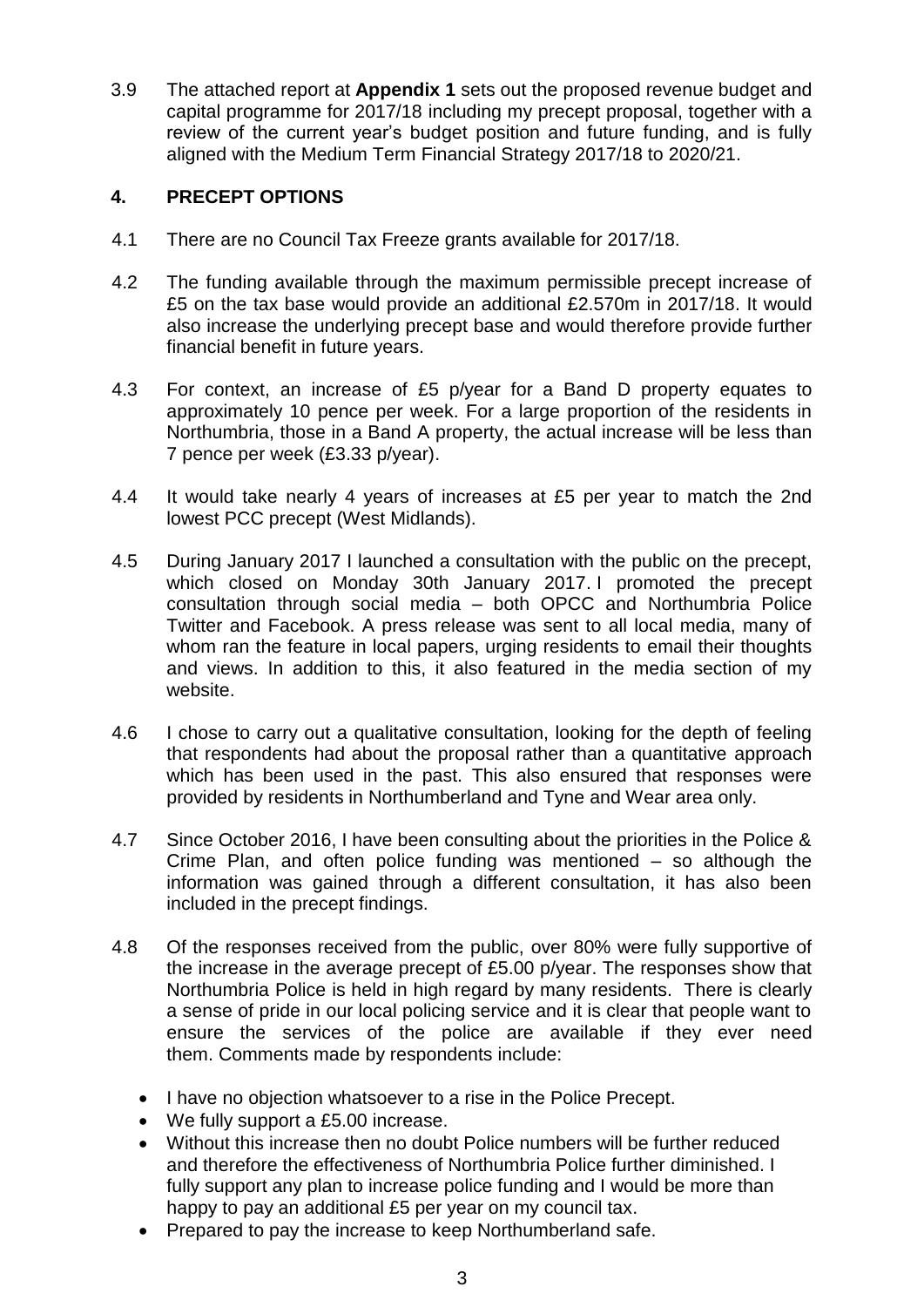3.9 The attached report at **Appendix 1** sets out the proposed revenue budget and capital programme for 2017/18 including my precept proposal, together with a review of the current year's budget position and future funding, and is fully aligned with the Medium Term Financial Strategy 2017/18 to 2020/21.

### **4. PRECEPT OPTIONS**

- 4.1 There are no Council Tax Freeze grants available for 2017/18.
- 4.2 The funding available through the maximum permissible precept increase of £5 on the tax base would provide an additional £2.570m in 2017/18. It would also increase the underlying precept base and would therefore provide further financial benefit in future years.
- 4.3 For context, an increase of £5 p/year for a Band D property equates to approximately 10 pence per week. For a large proportion of the residents in Northumbria, those in a Band A property, the actual increase will be less than 7 pence per week (£3.33 p/year).
- 4.4 It would take nearly 4 years of increases at £5 per year to match the 2nd lowest PCC precept (West Midlands).
- 4.5 During January 2017 I launched a consultation with the public on the precept, which closed on Monday 30th January 2017. I promoted the precept consultation through social media – both OPCC and Northumbria Police Twitter and Facebook. A press release was sent to all local media, many of whom ran the feature in local papers, urging residents to email their thoughts and views. In addition to this, it also featured in the media section of my website.
- 4.6 I chose to carry out a qualitative consultation, looking for the depth of feeling that respondents had about the proposal rather than a quantitative approach which has been used in the past. This also ensured that responses were provided by residents in Northumberland and Tyne and Wear area only.
- 4.7 Since October 2016, I have been consulting about the priorities in the Police & Crime Plan, and often police funding was mentioned – so although the information was gained through a different consultation, it has also been included in the precept findings.
- 4.8 Of the responses received from the public, over 80% were fully supportive of the increase in the average precept of £5.00 p/year. The responses show that Northumbria Police is held in high regard by many residents. There is clearly a sense of pride in our local policing service and it is clear that people want to ensure the services of the police are available if they ever need them. Comments made by respondents include:
	- I have no objection whatsoever to a rise in the Police Precept.
	- We fully support a £5.00 increase.
	- Without this increase then no doubt Police numbers will be further reduced and therefore the effectiveness of Northumbria Police further diminished. I fully support any plan to increase police funding and I would be more than happy to pay an additional £5 per year on my council tax.
	- Prepared to pay the increase to keep Northumberland safe.